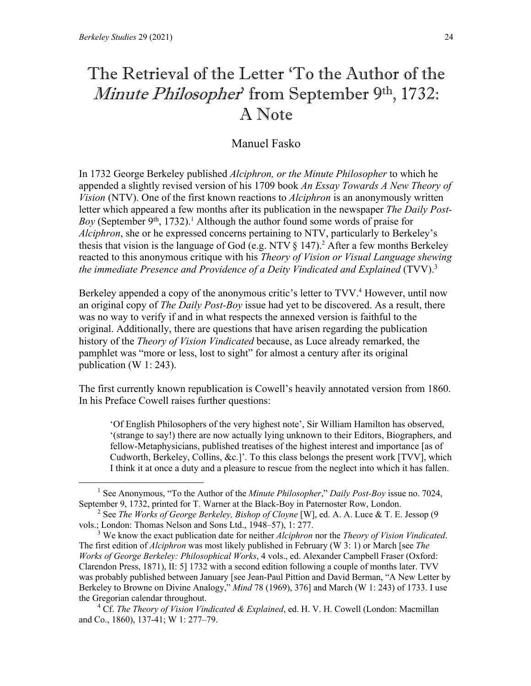# The Retrieval of the Letter 'To the Author of the Minute Philosopher' from September 9<sup>th</sup>, 1732: A Note

## Manuel Fasko

In 1732 George Berkeley published *Alciphron, or the Minute Philosopher* to which he appended a slightly revised version of his 1709 book *An Essay Towards A New Theory of Vision* (NTV). One of the first known reactions to *Alciphron* is an anonymously written letter which appeared a few months after its publication in the newspaper *The Daily Post-Boy* (September 9<sup>th</sup>, 1732).<sup>1</sup> Although the author found some words of praise for *Alciphron*, she or he expressed concerns pertaining to NTV, particularly to Berkeley's thesis that vision is the language of God (e.g. NTV  $\S$  147).<sup>2</sup> After a few months Berkeley reacted to this anonymous critique with his *Theory of Vision or Visual Language shewing the immediate Presence and Providence of a Deity Vindicated and Explained* (TVV).<sup>3</sup>

Berkeley appended a copy of the anonymous critic's letter to TVV. <sup>4</sup> However, until now an original copy of *The Daily Post-Boy* issue had yet to be discovered. As a result, there was no way to verify if and in what respects the annexed version is faithful to the original. Additionally, there are questions that have arisen regarding the publication history of the *Theory of Vision Vindicated* because, as Luce already remarked, the pamphlet was "more or less, lost to sight" for almost a century after its original publication (W 1: 243).

The first currently known republication is Cowell's heavily annotated version from 1860. In his Preface Cowell raises further questions:

'Of English Philosophers of the very highest note', Sir William Hamilton has observed, '(strange to say!) there are now actually lying unknown to their Editors, Biographers, and fellow-Metaphysicians, published treatises of the highest interest and importance [as of Cudworth, Berkeley, Collins, &c.]'. To this class belongs the present work [TVV], which I think it at once a duty and a pleasure to rescue from the neglect into which it has fallen.

<sup>1</sup> See Anonymous, "To the Author of the *Minute Philosopher*," *Daily Post-Boy* issue no. 7024, September 9, 1732, printed for T. Warner at the Black-Boy in Paternoster Row, London.

<sup>2</sup> See *The Works of George Berkeley, Bishop of Cloyne* [W], ed. A. A. Luce & T. E. Jessop (9 vols.; London: Thomas Nelson and Sons Ltd., 1948–57), 1: 277.

<sup>3</sup> We know the exact publication date for neither *Alciphron* nor the *Theory of Vision Vindicated*. The first edition of *Alciphron* was most likely published in February (W 3: 1) or March [see *The Works of George Berkeley: Philosophical Works*, 4 vols., ed. Alexander Campbell Fraser (Oxford: Clarendon Press, 1871), II: 5] 1732 with a second edition following a couple of months later. TVV was probably published between January [see Jean-Paul Pittion and David Berman, "A New Letter by Berkeley to Browne on Divine Analogy," *Mind* 78 (1969), 376] and March (W 1: 243) of 1733. I use the Gregorian calendar throughout.

<sup>4</sup> Cf. *The Theory of Vision Vindicated & Explained*, ed. H. V. H. Cowell (London: Macmillan and Co., 1860), 137-41; W 1: 277–79.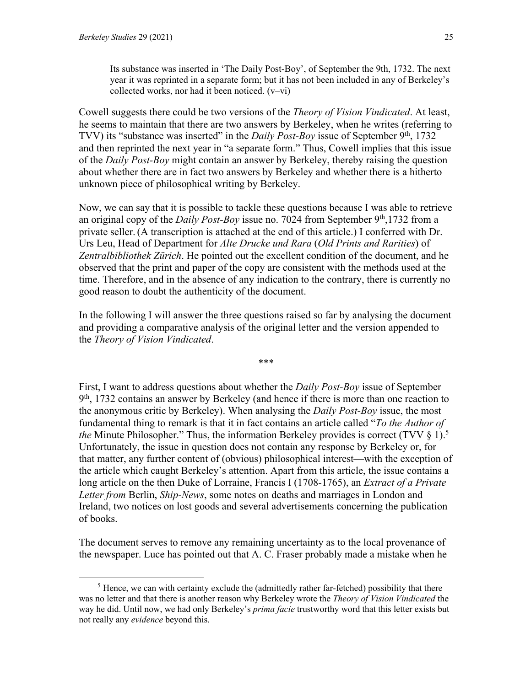Cowell suggests there could be two versions of the *Theory of Vision Vindicated*. At least, he seems to maintain that there are two answers by Berkeley, when he writes (referring to TVV) its "substance was inserted" in the *Daily Post-Boy* issue of September 9<sup>th</sup>, 1732 and then reprinted the next year in "a separate form." Thus, Cowell implies that this issue of the *Daily Post-Boy* might contain an answer by Berkeley, thereby raising the question about whether there are in fact two answers by Berkeley and whether there is a hitherto unknown piece of philosophical writing by Berkeley.

Now, we can say that it is possible to tackle these questions because I was able to retrieve an original copy of the *Daily Post-Boy* issue no. 7024 from September 9<sup>th</sup>,1732 from a private seller. (A transcription is attached at the end of this article.) I conferred with Dr. Urs Leu, Head of Department for *Alte Drucke und Rara* (*Old Prints and Rarities*) of *Zentralbibliothek Zürich*. He pointed out the excellent condition of the document, and he observed that the print and paper of the copy are consistent with the methods used at the time. Therefore, and in the absence of any indication to the contrary, there is currently no good reason to doubt the authenticity of the document.

In the following I will answer the three questions raised so far by analysing the document and providing a comparative analysis of the original letter and the version appended to the *Theory of Vision Vindicated*.

\*\*\*

First, I want to address questions about whether the *Daily Post-Boy* issue of September  $9<sup>th</sup>$ , 1732 contains an answer by Berkeley (and hence if there is more than one reaction to the anonymous critic by Berkeley). When analysing the *Daily Post-Boy* issue, the most fundamental thing to remark is that it in fact contains an article called "*To the Author of the* Minute Philosopher." Thus, the information Berkeley provides is correct (TVV § 1).<sup>5</sup> Unfortunately, the issue in question does not contain any response by Berkeley or, for that matter, any further content of (obvious) philosophical interest—with the exception of the article which caught Berkeley's attention. Apart from this article, the issue contains a long article on the then Duke of Lorraine, Francis I (1708-1765), an *Extract of a Private Letter from* Berlin, *Ship-News*, some notes on deaths and marriages in London and Ireland, two notices on lost goods and several advertisements concerning the publication of books.

The document serves to remove any remaining uncertainty as to the local provenance of the newspaper. Luce has pointed out that A. C. Fraser probably made a mistake when he

 $<sup>5</sup>$  Hence, we can with certainty exclude the (admittedly rather far-fetched) possibility that there</sup> was no letter and that there is another reason why Berkeley wrote the *Theory of Vision Vindicated* the way he did. Until now, we had only Berkeley's *prima facie* trustworthy word that this letter exists but not really any *evidence* beyond this.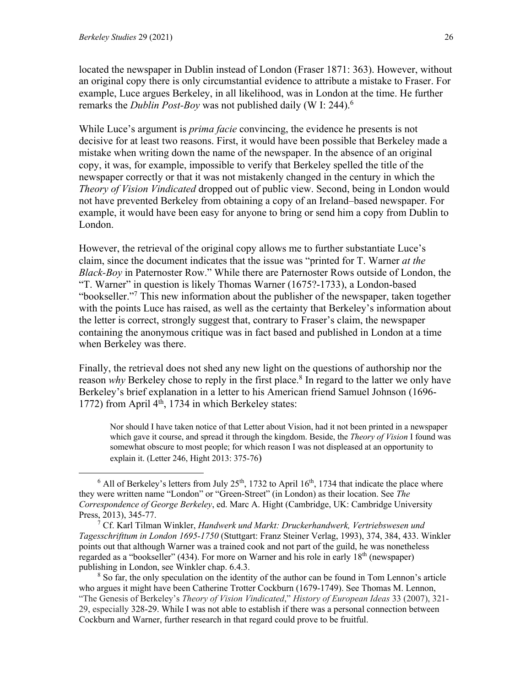located the newspaper in Dublin instead of London (Fraser 1871: 363). However, without an original copy there is only circumstantial evidence to attribute a mistake to Fraser. For example, Luce argues Berkeley, in all likelihood, was in London at the time. He further remarks the *Dublin Post-Boy* was not published daily (W I: 244).6

While Luce's argument is *prima facie* convincing, the evidence he presents is not decisive for at least two reasons. First, it would have been possible that Berkeley made a mistake when writing down the name of the newspaper. In the absence of an original copy, it was, for example, impossible to verify that Berkeley spelled the title of the newspaper correctly or that it was not mistakenly changed in the century in which the *Theory of Vision Vindicated* dropped out of public view. Second, being in London would not have prevented Berkeley from obtaining a copy of an Ireland–based newspaper. For example, it would have been easy for anyone to bring or send him a copy from Dublin to London.

However, the retrieval of the original copy allows me to further substantiate Luce's claim, since the document indicates that the issue was "printed for T. Warner *at the Black-Boy* in Paternoster Row." While there are Paternoster Rows outside of London, the "T. Warner" in question is likely Thomas Warner (1675?-1733), a London-based "bookseller."7 This new information about the publisher of the newspaper, taken together with the points Luce has raised, as well as the certainty that Berkeley's information about the letter is correct, strongly suggest that, contrary to Fraser's claim, the newspaper containing the anonymous critique was in fact based and published in London at a time when Berkeley was there.

Finally, the retrieval does not shed any new light on the questions of authorship nor the reason *why* Berkeley chose to reply in the first place.<sup>8</sup> In regard to the latter we only have Berkeley's brief explanation in a letter to his American friend Samuel Johnson (1696- 1772) from April  $4<sup>th</sup>$ , 1734 in which Berkeley states:

Nor should I have taken notice of that Letter about Vision, had it not been printed in a newspaper which gave it course, and spread it through the kingdom. Beside, the *Theory of Vision* I found was somewhat obscure to most people; for which reason I was not displeased at an opportunity to explain it. (Letter 246, Hight 2013: 375-76)

 $6$  All of Berkeley's letters from July 25<sup>th</sup>, 1732 to April 16<sup>th</sup>, 1734 that indicate the place where they were written name "London" or "Green-Street" (in London) as their location. See *The Correspondence of George Berkeley*, ed. Marc A. Hight (Cambridge, UK: Cambridge University Press, 2013), 345-77.

<sup>7</sup> Cf. Karl Tilman Winkler, *Handwerk und Markt: Druckerhandwerk, Vertriebswesen und Tagesschrifttum in London 1695-1750* (Stuttgart: Franz Steiner Verlag, 1993), 374, 384, 433. Winkler points out that although Warner was a trained cook and not part of the guild, he was nonetheless regarded as a "bookseller" (434). For more on Warner and his role in early 18<sup>th</sup> (newspaper) publishing in London, see Winkler chap. 6.4.3.

<sup>8</sup> So far, the only speculation on the identity of the author can be found in Tom Lennon's article who argues it might have been Catherine Trotter Cockburn (1679-1749). See Thomas M. Lennon, "The Genesis of Berkeley's *Theory of Vision Vindicated*," *History of European Ideas* 33 (2007), 321- 29, especially 328-29. While I was not able to establish if there was a personal connection between Cockburn and Warner, further research in that regard could prove to be fruitful.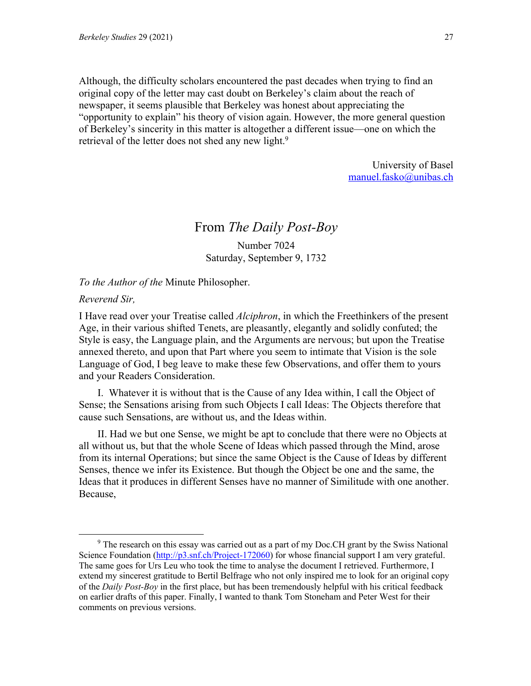Although, the difficulty scholars encountered the past decades when trying to find an original copy of the letter may cast doubt on Berkeley's claim about the reach of newspaper, it seems plausible that Berkeley was honest about appreciating the "opportunity to explain" his theory of vision again. However, the more general question of Berkeley's sincerity in this matter is altogether a different issue—one on which the retrieval of the letter does not shed any new light.<sup>9</sup>

> University of Basel manuel.fasko@unibas.ch

## From *The Daily Post-Boy*

Number 7024 Saturday, September 9, 1732

#### *To the Author of the* Minute Philosopher.

### *Reverend Sir,*

I Have read over your Treatise called *Alciphron*, in which the Freethinkers of the present Age, in their various shifted Tenets, are pleasantly, elegantly and solidly confuted; the Style is easy, the Language plain, and the Arguments are nervous; but upon the Treatise annexed thereto, and upon that Part where you seem to intimate that Vision is the sole Language of God, I beg leave to make these few Observations, and offer them to yours and your Readers Consideration.

I. Whatever it is without that is the Cause of any Idea within, I call the Object of Sense; the Sensations arising from such Objects I call Ideas: The Objects therefore that cause such Sensations, are without us, and the Ideas within.

II. Had we but one Sense, we might be apt to conclude that there were no Objects at all without us, but that the whole Scene of Ideas which passed through the Mind, arose from its internal Operations; but since the same Object is the Cause of Ideas by different Senses, thence we infer its Existence. But though the Object be one and the same, the Ideas that it produces in different Senses have no manner of Similitude with one another. Because,

<sup>&</sup>lt;sup>9</sup> The research on this essay was carried out as a part of my Doc.CH grant by the Swiss National Science Foundation (http://p3.snf.ch/Project-172060) for whose financial support I am very grateful. The same goes for Urs Leu who took the time to analyse the document I retrieved. Furthermore, I extend my sincerest gratitude to Bertil Belfrage who not only inspired me to look for an original copy of the *Daily Post-Boy* in the first place, but has been tremendously helpful with his critical feedback on earlier drafts of this paper. Finally, I wanted to thank Tom Stoneham and Peter West for their comments on previous versions.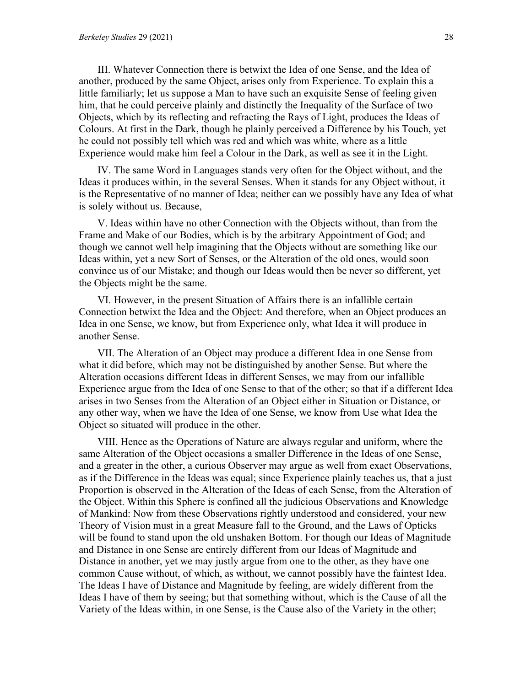III. Whatever Connection there is betwixt the Idea of one Sense, and the Idea of another, produced by the same Object, arises only from Experience. To explain this a little familiarly; let us suppose a Man to have such an exquisite Sense of feeling given him, that he could perceive plainly and distinctly the Inequality of the Surface of two Objects, which by its reflecting and refracting the Rays of Light, produces the Ideas of Colours. At first in the Dark, though he plainly perceived a Difference by his Touch, yet he could not possibly tell which was red and which was white, where as a little Experience would make him feel a Colour in the Dark, as well as see it in the Light.

IV. The same Word in Languages stands very often for the Object without, and the Ideas it produces within, in the several Senses. When it stands for any Object without, it is the Representative of no manner of Idea; neither can we possibly have any Idea of what is solely without us. Because,

V. Ideas within have no other Connection with the Objects without, than from the Frame and Make of our Bodies, which is by the arbitrary Appointment of God; and though we cannot well help imagining that the Objects without are something like our Ideas within, yet a new Sort of Senses, or the Alteration of the old ones, would soon convince us of our Mistake; and though our Ideas would then be never so different, yet the Objects might be the same.

VI. However, in the present Situation of Affairs there is an infallible certain Connection betwixt the Idea and the Object: And therefore, when an Object produces an Idea in one Sense, we know, but from Experience only, what Idea it will produce in another Sense.

VII. The Alteration of an Object may produce a different Idea in one Sense from what it did before, which may not be distinguished by another Sense. But where the Alteration occasions different Ideas in different Senses, we may from our infallible Experience argue from the Idea of one Sense to that of the other; so that if a different Idea arises in two Senses from the Alteration of an Object either in Situation or Distance, or any other way, when we have the Idea of one Sense, we know from Use what Idea the Object so situated will produce in the other.

VIII. Hence as the Operations of Nature are always regular and uniform, where the same Alteration of the Object occasions a smaller Difference in the Ideas of one Sense, and a greater in the other, a curious Observer may argue as well from exact Observations, as if the Difference in the Ideas was equal; since Experience plainly teaches us, that a just Proportion is observed in the Alteration of the Ideas of each Sense, from the Alteration of the Object. Within this Sphere is confined all the judicious Observations and Knowledge of Mankind: Now from these Observations rightly understood and considered, your new Theory of Vision must in a great Measure fall to the Ground, and the Laws of Opticks will be found to stand upon the old unshaken Bottom. For though our Ideas of Magnitude and Distance in one Sense are entirely different from our Ideas of Magnitude and Distance in another, yet we may justly argue from one to the other, as they have one common Cause without, of which, as without, we cannot possibly have the faintest Idea. The Ideas I have of Distance and Magnitude by feeling, are widely different from the Ideas I have of them by seeing; but that something without, which is the Cause of all the Variety of the Ideas within, in one Sense, is the Cause also of the Variety in the other;